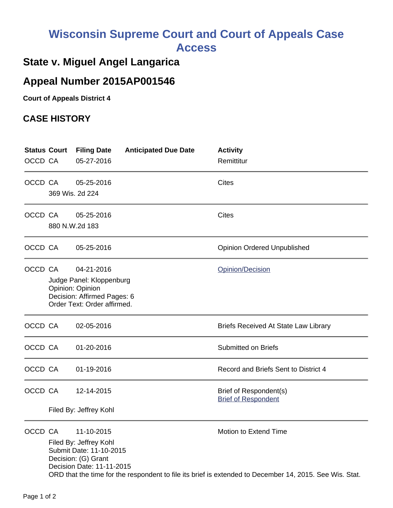# **Wisconsin Supreme Court and Court of Appeals Case Access**

## **State v. Miguel Angel Langarica**

### **Appeal Number 2015AP001546**

**Court of Appeals District 4**

#### **CASE HISTORY**

| OCCD CA | <b>Status Court</b>                                                                                        | <b>Filing Date</b><br>05-27-2016                                                                      | <b>Anticipated Due Date</b> | <b>Activity</b><br>Remittitur                        |  |
|---------|------------------------------------------------------------------------------------------------------------|-------------------------------------------------------------------------------------------------------|-----------------------------|------------------------------------------------------|--|
|         |                                                                                                            |                                                                                                       |                             |                                                      |  |
| OCCD CA |                                                                                                            | 05-25-2016                                                                                            |                             | <b>Cites</b>                                         |  |
|         | 369 Wis. 2d 224                                                                                            |                                                                                                       |                             |                                                      |  |
| OCCD CA |                                                                                                            | 05-25-2016                                                                                            |                             | <b>Cites</b>                                         |  |
|         | 880 N.W.2d 183                                                                                             |                                                                                                       |                             |                                                      |  |
| OCCD CA |                                                                                                            | 05-25-2016                                                                                            |                             | <b>Opinion Ordered Unpublished</b>                   |  |
| OCCD CA |                                                                                                            | 04-21-2016                                                                                            |                             | Opinion/Decision                                     |  |
|         | Judge Panel: Kloppenburg<br>Opinion: Opinion<br>Decision: Affirmed Pages: 6<br>Order Text: Order affirmed. |                                                                                                       |                             |                                                      |  |
| OCCD CA |                                                                                                            | 02-05-2016                                                                                            |                             | <b>Briefs Received At State Law Library</b>          |  |
| OCCD CA |                                                                                                            | 01-20-2016                                                                                            |                             | <b>Submitted on Briefs</b>                           |  |
| OCCD CA |                                                                                                            | 01-19-2016                                                                                            |                             | Record and Briefs Sent to District 4                 |  |
| OCCD CA |                                                                                                            | 12-14-2015                                                                                            |                             | Brief of Respondent(s)<br><b>Brief of Respondent</b> |  |
|         | Filed By: Jeffrey Kohl                                                                                     |                                                                                                       |                             |                                                      |  |
| OCCD CA |                                                                                                            | 11-10-2015                                                                                            |                             | Motion to Extend Time                                |  |
|         |                                                                                                            | Filed By: Jeffrey Kohl<br>Submit Date: 11-10-2015<br>Decision: (G) Grant<br>Decision Date: 11-11-2015 |                             |                                                      |  |
|         | ORD that the time for the respondent to file its brief is extended to December 14, 2015. See Wis. Stat.    |                                                                                                       |                             |                                                      |  |